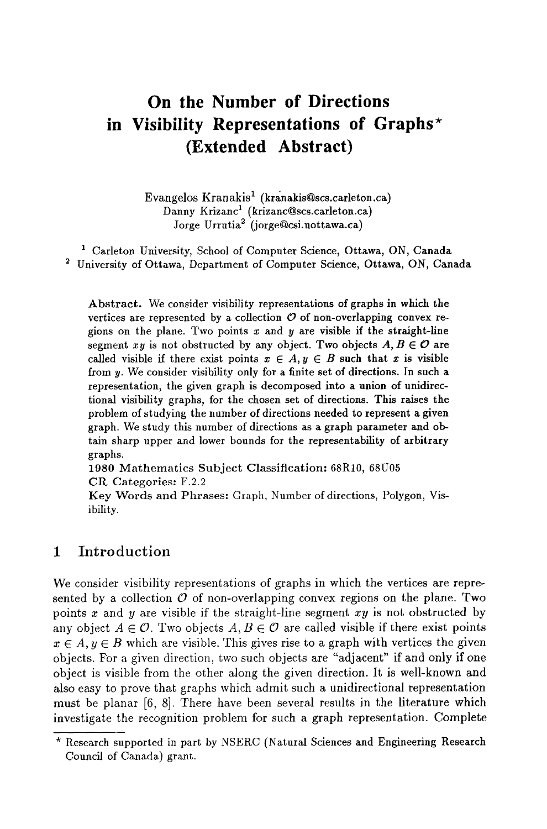# **in Visibility Representations of Graphs\* On the Number of Directions (Extended Abstract)**

Evangelos Kranakis<sup>1</sup> (kranakis@scs.carleton.ca) Danny Krizanc<sup>1</sup> (krizanc@scs.carleton.ca) Jorge Urrutia<sup>2</sup> (jorge@csi.uottawa.ca)

<sup>1</sup> Carleton University, School of Computer Science, Ottawa, ON, Canada 2 University of Ottawa, Department of Computer Science, Ottawa, ON, Canada

Abstract. We consider visibility representations of graphs in which the vertices are represented by a collection  $\mathcal O$  of non-overlapping convex regions on the plane. Two points  $x$  and  $y$  are visible if the straight-line segment xy is not obstructed by any object. Two objects  $A, B \in \mathcal{O}$  are called visible if there exist points  $x \in A, y \in B$  such that x is visible from y. We consider visibility only for a finite set of directions. In such a representation, the given graph is decomposed into a union of unidirectional visibility graphs, for the chosen set of directions. This raises the problem of studying the number of directions needed to represent a given graph. We study this number of directions as a graph parameter and obtain sharp upper and lower bounds for the representability of arbitrary graphs.

1980 Mathematics Subject Classification: 68R10, 68U05 CR Categories: F.2.2

Key Words and Phrases: Graph, Number of directions, Polygon, Visibility.

# **1 Introduction**

We consider visibility representations of graphs in which the vertices are represented by a collection  $\mathcal O$  of non-overlapping convex regions on the plane. Two points x and y are visible if the straight-line segment *xy* is not obstructed by any object  $A \in \mathcal{O}$ . Two objects  $A, B \in \mathcal{O}$  are called visible if there exist points  $x \in A, y \in B$  which are visible. This gives rise to a graph with vertices the given objects. For a given direction, two such objects are "adjacent" if and only if one object is visible from the other along the given direction. It is well-known and also easy to prove that graphs which admit such a unidirectional representation must be planar [6, 8]. There have been several results in the literature which investigate the recognition problem for such a graph representation. Complete

<sup>\*</sup> Research supported in part by NSERC (Natural Sciences and Engineering Research Council of Canada) grant.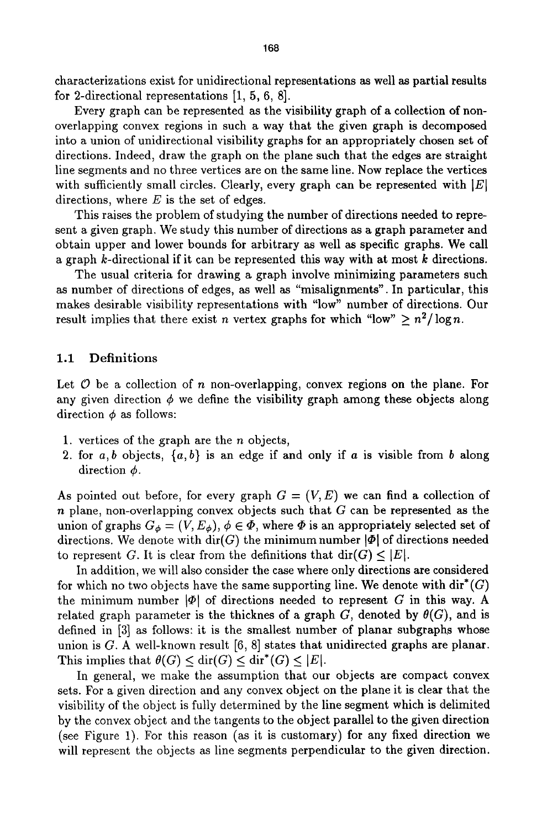characterizations exist for unidirectional representations as well as partial results for 2-directional representations [1, 5, 6, 8].

Every graph can be represented as the visibility graph of a collection of nonoverlapping convex regions in such a way that the given graph is decomposed into a union of unidirectional visibility graphs for an appropriately chosen set of directions. Indeed, draw the graph on the plane such that the edges are straight line segments and no three vertices are on the same line. Now replace the vertices with sufficiently small circles. Clearly, every graph can be represented with  $|E|$ directions, where  $E$  is the set of edges.

This raises the problem of studying the number of directions needed to represent a given graph. We study this number of directions as a graph parameter and obtain upper and lower bounds for arbitrary as well as specific graphs. We call a graph k-directional if it can be represented this way with at most k directions.

The usual criteria for drawing a graph involve minimizing parameters such as number of directions of edges, as well as "misalignments". In particular, this makes desirable visibility representations with "low" number of directions. Our result implies that there exist *n* vertex graphs for which "low"  $\geq n^2/\log n$ .

#### 1.1 Definitions

Let  $\mathcal O$  be a collection of n non-overlapping, convex regions on the plane. For any given direction  $\phi$  we define the visibility graph among these objects along direction  $\phi$  as follows:

- 1. vertices of the graph are the  $n$  objects,
- 2. for  $a, b$  objects,  $\{a, b\}$  is an edge if and only if  $a$  is visible from  $b$  along direction  $\phi$ .

As pointed out before, for every graph  $G = (V, E)$  we can find a collection of  $n$  plane, non-overlapping convex objects such that  $G$  can be represented as the union of graphs  $G_{\phi} = (V, E_{\phi}), \phi \in \Phi$ , where  $\Phi$  is an appropriately selected set of directions. We denote with  $\text{dir}(G)$  the minimum number  $|\Phi|$  of directions needed to represent G. It is clear from the definitions that  $\text{dir}(G) \leq |E|$ .

In addition, we will also consider the case where only directions are considered for which no two objects have the same supporting line. We denote with  $\text{dir}^*(G)$ the minimum number  $|\Phi|$  of directions needed to represent G in this way. A related graph parameter is the thicknes of a graph G, denoted by  $\theta(G)$ , and is defined in [3] as follows: it is the smallest number of planar subgraphs whose union is  $G$ . A well-known result  $[6, 8]$  states that unidirected graphs are planar. This implies that  $\theta(G) \le \text{dir}(G) \le \text{dir}^*(G) \le |E|.$ 

In general, we make the assumption that our objects are compact convex sets. For a given direction and any convex object on the plane it is clear that the visibility of the object is fully determined by the line segment which is delimited by the convex object and the tangents to the object parallel to the given direction (see Figure 1). For this reason (as it is customary) for any fixed direction we will represent the objects as line segments perpendicular to the given direction.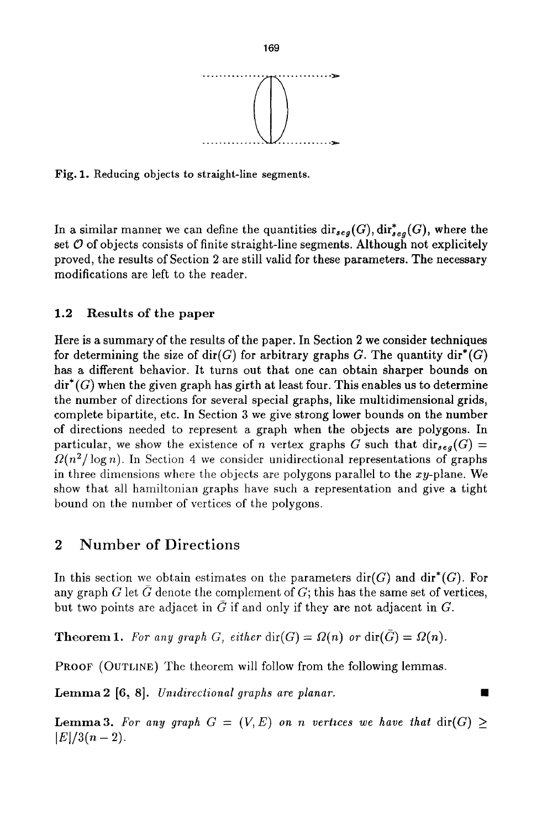

Fig. 1. Reducing objects to straight-line segments.

In a similar manner we can define the quantities  $\text{dir}_{seg}(G), \text{dir}_{seg}^*(G)$ , where the set  $\mathcal O$  of objects consists of finite straight-line segments. Although not explicitely proved, the results of Section 2 are still valid for these parameters. The necessary modifications are left to the reader.

#### 1.2 Results of the paper

Here is a summary of the results of the paper. In Section 2 we consider techniques for determining the size of dir(G) for arbitrary graphs G. The quantity dir<sup>\*</sup>(G) has a different behavior. It turns out that one can obtain sharper bounds on  $\dim^*(G)$  when the given graph has girth at least four. This enables us to determine the number of directions for several special graphs, like multidimensional grids, complete bipartite, etc. In Section 3 we give strong lower bounds on the number of directions needed to represent a graph when the objects are polygons. In particular, we show the existence of n vertex graphs G such that  $\text{dir}_{seg}(G)$  =  $\Omega(n^2/\log n)$ . In Section 4 we consider unidirectional representations of graphs in three dimensions where the objects are polygons parallel to the  $xy$ -plane. We show that all hamiltonian graphs have such a representation and give a tight bound on the number of vertices of the polygons.

# **2 Number of Directions**

In this section we obtain estimates on the parameters  $\text{dir}(G)$  and  $\text{dir}^*(G)$ . For any graph G let G denote the complement of  $G$ ; this has the same set of vertices, but two points are adjacet in  $\bar{G}$  if and only if they are not adjacent in G.

**Theorem 1.** For any graph G, either  $\text{dir}(G) = \Omega(n)$  or  $\text{dir}(\overline{G}) = \Omega(n)$ .

PROOF (OUTLINE) The theorem will follow from the following lemmas.

Lemma2 [6, 8]. *Unzdireclional graphs are planar.* 

**Lemma3.** For any graph  $G = (V, E)$  on n vertices we have that  $\text{dir}(G) \geq$  $|E|/3(n-2)$ .

**169**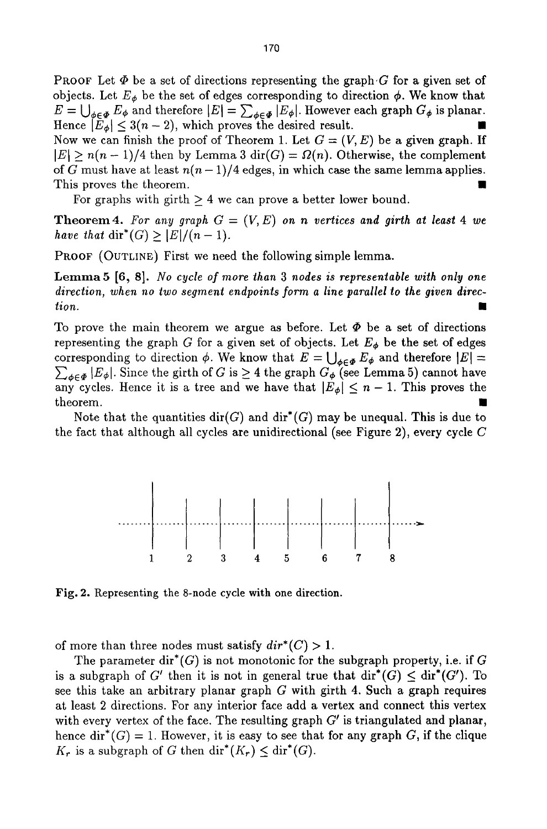170

**PROOF** Let  $\Phi$  be a set of directions representing the graph G for a given set of objects. Let  $E_{\phi}$  be the set of edges corresponding to direction  $\phi$ . We know that  $E = \bigcup_{\phi \in \Phi} E_{\phi}$  and therefore  $|E| = \sum_{\phi \in \Phi} |E_{\phi}|$ . However each graph  $G_{\phi}$  is planar. Hence  $|\tilde{E}_{\phi}| \leq 3(n-2)$ , which proves the desired result.

Now we can finish the proof of Theorem 1. Let  $G = (V, E)$  be a given graph. If  $|E| \ge n(n-1)/4$  then by Lemma 3 dir(G) =  $\Omega(n)$ . Otherwise, the complement of G must have at least  $n(n-1)/4$  edges, in which case the same lemma applies. This proves the theorem.

For graphs with girth  $> 4$  we can prove a better lower bound.

**Theorem 4.** For any graph  $G = (V, E)$  on n vertices and girth at least 4 we *have that*  $\text{dir}^*(G) \geq |E|/(n-1)$ .

PROOF (OUTLINE) First we need the following simple lemma.

Lemma5 [6, 8]. *No cycle of more than 3 nodes is representable with only one direction, when no two segment endpoints form a line parallel to the given direction. 9* 

To prove the main theorem we argue as before. Let  $\Phi$  be a set of directions representing the graph G for a given set of objects. Let  $E_{\phi}$  be the set of edges corresponding to direction  $\phi$ . We know that  $E = \bigcup_{\phi \in \Phi} E_{\phi}$  and therefore  $|E|$  =  $\sum_{\phi \in \Phi} |E_{\phi}|$ . Since the girth of G is  $\geq 4$  the graph  $G_{\phi}$  (see Lemma 5) cannot have any cycles. Hence it is a tree and we have that  $|E_{\phi}| \leq n - 1$ . This proves the theorem. **The contract of the contract of the contract of the contract of the contract of the contract of the contract of the contract of the contract of the contract of the contract of the contract of the contract of the** 

Note that the quantities  $\text{dir}(G)$  and  $\text{dir}^*(G)$  may be unequal. This is due to the fact that although all cycles are unidirectional (see Figure 2), every cycle  $C$ 



Fig. 2. Representing the 8-node cycle with one direction.

of more than three nodes must satisfy  $dir^*(C) > 1$ .

The parameter dir<sup>\*</sup>(G) is not monotonic for the subgraph property, i.e. if G is a subgraph of G' then it is not in general true that  $\text{dir}^*(G) \leq \text{dir}^*(G')$ . To see this take an arbitrary planar graph  $G$  with girth 4. Such a graph requires at least 2 directions. For any interior face add a vertex and connect this vertex with every vertex of the face. The resulting graph  $G'$  is triangulated and planar, hence dir<sup>\*</sup>(G) = 1. However, it is easy to see that for any graph G, if the clique  $K_r$  is a subgraph of G then dir<sup>\*</sup>( $K_r$ )  $\leq$  dir<sup>\*</sup>(G).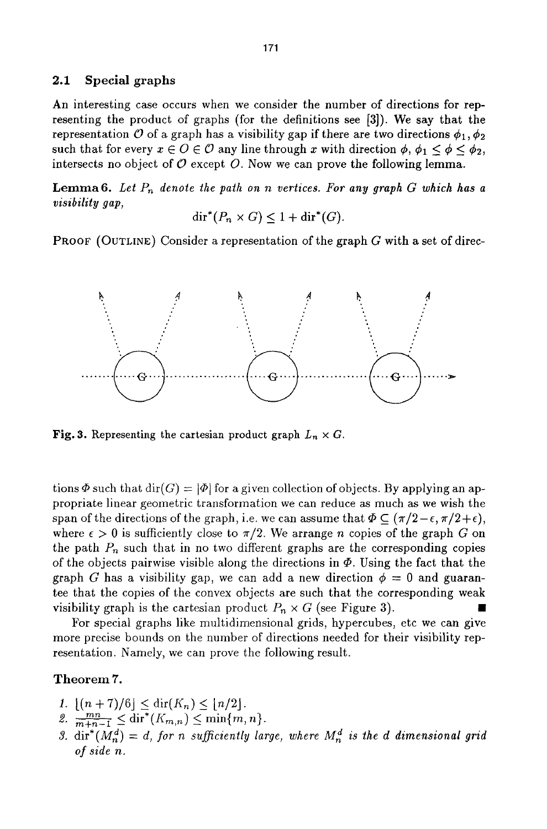#### 2.1 Special graphs

An interesting case occurs when we consider the number of directions for representing the product of graphs (for the definitions see [3]). We say that the representation O of a graph has a visibility gap if there are two directions  $\phi_1, \phi_2$ such that for every  $x \in O \in \mathcal{O}$  any line through x with direction  $\phi$ ,  $\phi_1 \leq \phi \leq \phi_2$ , intersects no object of  $\mathcal O$  except  $\mathcal O$ . Now we can prove the following lemma.

**Lemma6.** Let  $P_n$  denote the path on n vertices. For any graph  $G$  which has a *visibility gap,* 

 $\text{dir}^*(P_n \times G) \leq 1 + \text{dir}^*(G).$ 

**PROOF** (OUTLINE) Consider a representation of the graph  $G$  with a set of direc-



Fig. 3. Representing the cartesian product graph  $L_n \times G$ .

tions  $\Phi$  such that  $\text{dir}(G) = |\Phi|$  for a given collection of objects. By applying an appropriate linear geometric transformation we can reduce as much as we wish the span of the directions of the graph, i.e. we can assume that  $\Phi \subset (\pi/2 - \epsilon, \pi/2 + \epsilon)$ , where  $\epsilon > 0$  is sufficiently close to  $\pi/2$ . We arrange *n* copies of the graph G on the path  $P_n$  such that in no two different graphs are the corresponding copies of the objects pairwise visible along the directions in  $\Phi$ . Using the fact that the graph G has a visibility gap, we can add a new direction  $\phi = 0$  and guarantee that the copies of the convex objects are such that the corresponding weak visibility graph is the cartesian product  $P_n \times G$  (see Figure 3).

For special graphs like multidimensional grids, hypercubes, etc we can give more precise bounds on the number of directions needed for their visibility representation. Namely, we can prove the following result.

#### Theorem 7.

- 1.  $[(n + 7)/6] \leq \text{dir}(K_n) \leq \lfloor n/2 \rfloor$ .
- 2.  $\frac{mn}{m+n-1} \leq \text{dir}^*(K_{m,n}) \leq \min\{m,n\}.$
- 3. dir<sup>\*</sup>( $M_n^a$ ) = *d*, for n sufficiently large, where  $M_n^a$  is the *d* dimensional grid *of side n.*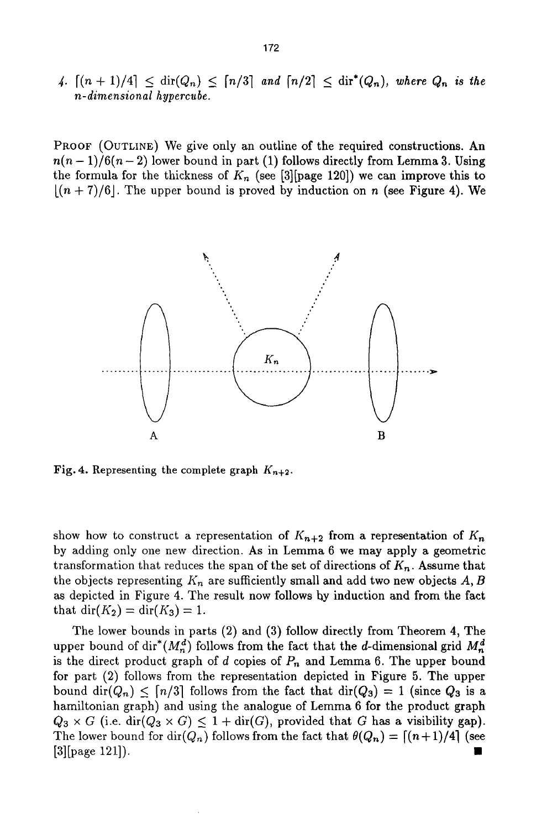4.  $\lceil (n + 1)/4 \rceil \leq \text{dir}(Q_n) \leq \lceil n/3 \rceil$  and  $\lceil n/2 \rceil \leq \text{dir}^*(Q_n)$ , where  $Q_n$  is the *n-dimensional hypercube.* 

PROOF (OUTLINE) We give only an outline of the required constructions. An  $n(n-1)/6(n-2)$  lower bound in part (1) follows directly from Lemma 3. Using the formula for the thickness of  $K_n$  (see [3][page 120]) we can improve this to  $[(n + 7)/6]$ . The upper bound is proved by induction on n (see Figure 4). We



Fig. 4. Representing the complete graph  $K_{n+2}$ .

show how to construct a representation of  $K_{n+2}$  from a representation of  $K_n$ by adding only one new direction. As in Lemma 6 we may apply a geometric transformation that reduces the span of the set of directions of *Kn.* Assume that the objects representing  $K_n$  are sufficiently small and add two new objects A, B as depicted in Figure 4. The result now follows hy induction and from the fact that  $\text{dir}(K_2) = \text{dir}(K_3) = 1$ .

The lower bounds in parts (2) and (3) follow directly from Theorem 4, The upper bound of dir<sup>\*</sup>( $M_n^d$ ) follows from the fact that the d-dimensional grid  $M_n^d$ is the direct product graph of d copies of  $P_n$  and Lemma 6. The upper bound for part (2) follows from the representation depicted in Figure 5. The upper bound dir( $Q_n$ )  $\leq$  [n/3] follows from the fact that dir( $Q_3$ ) = 1 (since  $Q_3$  is a hamiltonian graph) and using the analogue of Lemma 6 for the product graph  $Q_3 \times G$  (i.e. dir( $Q_3 \times G$ )  $\leq 1 + \text{dir}(G)$ , provided that G has a visibility gap). The lower bound for  $\text{dir}(Q_n)$  follows from the fact that  $\theta(Q_n) = \lceil (n+1)/4 \rceil$  (see  $[3]$ [page 121]).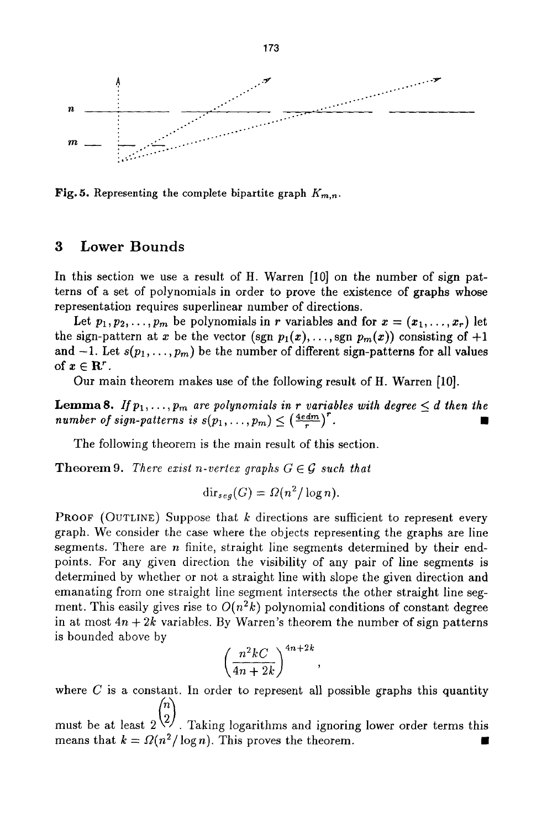

Fig. 5. Representing the complete bipartite graph  $K_{m,n}$ .

# **3 Lower Bounds**

**In this section we use a result of H. Warren [10] on the number of sign patterns of a set of polynomials in order to prove the existence of graphs whose representation requires superlinear number of directions.** 

Let  $p_1, p_2, \ldots, p_m$  be polynomials in r variables and for  $x = (x_1, \ldots, x_r)$  let the sign-pattern at x be the vector (sgn  $p_1(x), \ldots$ , sgn  $p_m(x)$ ) consisting of  $+1$ and  $-1$ . Let  $s(p_1, \ldots, p_m)$  be the number of different sign-patterns for all values of  $x \in \mathbf{R}^r$  .

**Our main theorem makes use of the following result of H. Warren [10].** 

**Lemma 8.** *If*  $p_1, \ldots, p_m$  are polynomials in r variables with degree  $\leq d$  then the  $number\ of\ sign\-patterns\ is\ s(p_1,\ldots,p_m) \leq \left(\frac{4\text{ edm}}{r}\right)^r.$ 

The following theorem is the main result of this section.

**Theorem 9.** *There exist n-vertex graphs*  $G \in \mathcal{G}$  *such that* 

$$
\operatorname{dir}_{seg}(G) = \Omega(n^2/\log n).
$$

**PROOF** (OUTLINE) Suppose that k directions are sufficient to represent every graph. We consider the case where the objects representing the graphs are line segments. There are  $n$  finite, straight line segments determined by their endpoints. For any given direction the visibility of any pair of line segments is determined by whether or not a straight line with slope the given direction and emanating from one straight line segment intersects the other straight line segment. This easily gives rise to  $O(n^2k)$  polynomial conditions of constant degree in at most  $4n + 2k$  variables. By Warren's theorem the number of sign patterns is bounded above by

$$
\left(\frac{n^2kC}{4n+2k}\right)^{4n+2k},
$$

where  $C$  is a constant. In order to represent all possible graphs this quantity

must be at least  $2^{2}$ . Taking logarithms and ignoring lower order terms this means that  $k = \Omega(n^2/\log n)$ . This proves the theorem.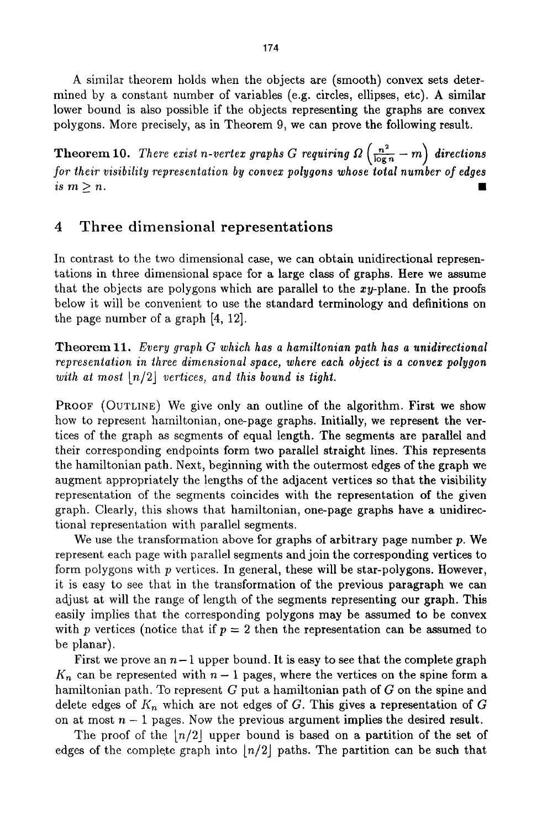A similar theorem holds when the objects are (smooth) convex sets determined by a constant number of variables (e.g. circles, ellipses, etc). A similar lower bound is also possible if the objects representing the graphs are convex polygons. More precisely, as in Theorem 9, we can prove the following result.

Theorem 10. *There exist n-vertex graphs G requiring*  $\Omega\left(\frac{n^2}{\log n} - m\right)$  *directions for their visibility representation by convex polygons whose total number of edges*  $i s \ m \geq n$ .

# 4 Three dimensional representations

In contrast to the two dimensional case, we can obtain unidirectional representations in three dimensional space for a large class of graphs. Here we assume that the objects are polygons which are parallel to the  $xy$ -plane. In the proofs below it will be convenient to use the standard terminology and definitions on the page number of a graph [4, 12].

Theorem 11. *Every graph G which has a hamiltonian path has a unidirectional representation in three dimensional space, where each object is a convex polygon with at most*  $\lfloor n/2 \rfloor$  *vertices, and this bound is tight.* 

PROOF (OUTLINE) We give only an outline of the algorithm. First we show how to represent hamiltonian, one-page graphs. Initially, we represent the vertices of the graph as segments of equal length. The segments are parallel and their corresponding endpoints form two parallel straight lines. This represents the hamiltonian path. Next, beginning with the outermost edges of the graph we augment appropriately the lengths of the adjacent vertices so that the visibility representation of the segments coincides with the representation of the given graph. Clearly, this shows that hamiltonian, one-page graphs have a unidirectional representation with parallel segments.

We use the transformation above for graphs of arbitrary page number  $p$ . We represent each page with parallel segments and join the corresponding vertices to form polygons with p vertices. In general, these will be star-polygons. However, it is easy to see that in the transformation of the previous paragraph we can adjust at will the range of length of the segments representing our graph. This easily implies that the corresponding polygons may be assumed to be convex with p vertices (notice that if  $p = 2$  then the representation can be assumed to be planar).

First we prove an  $n-1$  upper bound. It is easy to see that the complete graph  $K_n$  can be represented with  $n-1$  pages, where the vertices on the spine form a hamiltonian path. To represent G put a hamiltonian path of G on the spine and delete edges of  $K_n$  which are not edges of G. This gives a representation of G on at most  $n-1$  pages. Now the previous argument implies the desired result.

The proof of the  $|n/2|$  upper bound is based on a partition of the set of edges of the complete graph into  $\lfloor n/2 \rfloor$  paths. The partition can be such that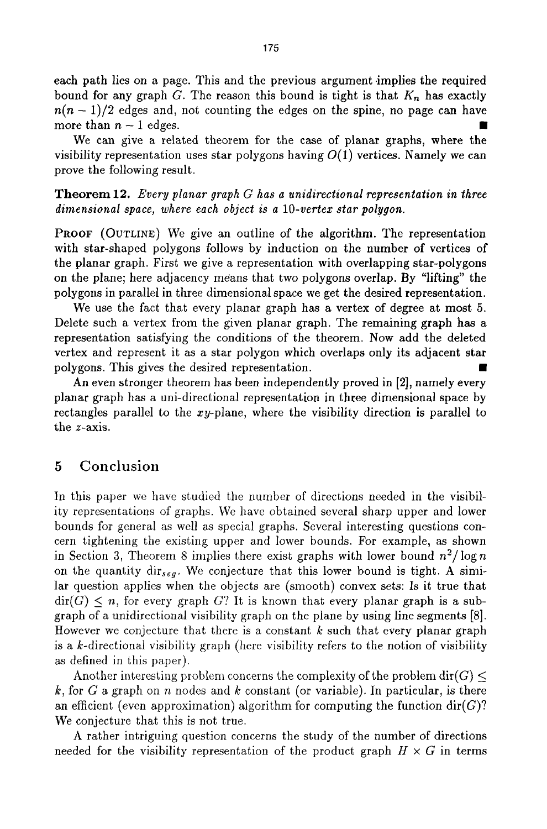each path lies on a page. This and the previous argument implies the required bound for any graph G. The reason this bound is tight is that  $K_n$  has exactly  $n(n-1)/2$  edges and, not counting the edges on the spine, no page can have more than  $n-1$  edges.

We can give a related theorem for the case of planar graphs, where the visibility representation uses star polygons having  $O(1)$  vertices. Namely we can prove the following result.

Theorem 12. *Every planar graph G has a unidirectional representation in three dimensional space, where each object is a lO-vertex star polygon.* 

PROOF (OUTLINE) We give an outline of the algorithm. The representation with star-shaped polygons follows by induction on the number of vertices of the planar graph. First we give a representation with overlapping star-polygons on the plane; here adjacency means that two polygons overlap. By "lifting" the polygons in parallel in three dimensional space we get the desired representation.

We use the fact that every planar graph has a vertex of degree at most 5. Delete such a vertex from the given planar graph. The remaining graph has a representation satisfying the conditions of the theorem. Now add the deleted vertex and represent it as a star polygon which overlaps only its adjacent star polygons. This gives the desired representation.

An even stronger theorem has been independently proved in [2], namely every planar graph has a uni-directional representation in three dimensional space by rectangles parallel to the  $xy$ -plane, where the visibility direction is parallel to the z-axis.

# 5 Conclusion

In this paper we have studied the number of directions needed in the visibility representations of graphs. We have obtained several sharp upper and lower bounds for general as well as special graphs. Several interesting questions concern tightening the existing upper and lower bounds. For example, as shown in Section 3, Theorem 8 implies there exist graphs with lower bound  $n^2/\log n$ on the quantity dir<sub>seg</sub>. We conjecture that this lower bound is tight. A similar question applies when the objects are (smooth) convex sets: Is it true that  $\text{dir}(G) \leq n$ , for every graph G? It is known that every planar graph is a subgraph of a unidirectional visibility graph on the plane by using line segments [8]. However we conjecture that there is a constant  $k$  such that every planar graph is a  $k$ -directional visibility graph (here visibility refers to the notion of visibility as defined in this paper).

Another interesting problem concerns the complexity of the problem  $\text{dir}(G)$  < k, for G a graph on n nodes and k constant (or variable). In particular, is there an efficient (even approximation) algorithm for computing the function  $\text{dir}(G)$ ? We conjecture that this is not true.

A rather intriguing question concerns the study of the number of directions needed for the visibility representation of the product graph  $H \times G$  in terms